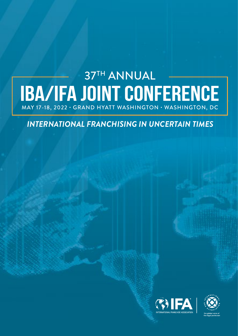# **BA/IFA JOINT CONFERENCE** MAY 17-18, 2022 **·** GRAND HYATT WASHINGTON **·** WASHINGTON, DC

*INTERNATIONAL FRANCHISING IN UNCERTAIN TIMES*



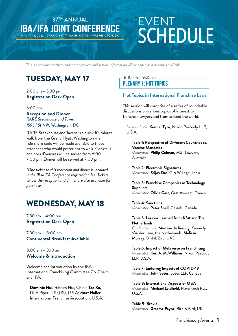# EVENT **SCHEDULE**

*This is a working brochure and more speakers and session information will be added as it becomes available.*

# TUESDAY, MAY 17

37TH ANNUAL

MAY 17-18, 2022 **·** GRAND HYATT WASHINGTON **·** WASHINGTON, DC

**IBA/IFA JOINT CONFER** 

#### 2:00 pm – 5:30 pm **Registration Desk Open**

#### 6:00 pm **Reception and Dinner**  *RARE Steakhouse and Tavern 1595 I St NW, Washington, DC*

RARE Steakhouse and Tavern is a quick 10-minute walk from the Grand Hyatt Washington – a ride share code will be made available to those attendees who would prefer not to walk. Cocktails and hors d'oeuvres will be served from 6:00 – 7:00 pm. Dinner will be served at 7:00 pm.

*\*One ticket to this reception and dinner is included in the IBA/IFA Conference registration fee. Tickets to just the reception and dinner are also available for purchase.*

# WEDNESDAY, MAY 18

7:30 am – 4:00 pm **Registration Desk Open**

7:30 am – 8:00 am **Continental Breakfast Available** 

8:00 am – 8:10 am **Welcome & Introduction**

Welcome and Introduction by the IBA International Franchising Committee Co-Chairs and IFA.

**Dominic Hui,** Ribeiro Hui, China; **Tao Xu,**  DLA Piper LLP (US), U.S.A; **Matt Haller**, International Franchise Association, U.S.A.

#### 8:10 am – 9:25 am **Plenary 1: Hot Topics**

### **Hot Topics in International Franchise Laws**

This session will comprise of a series of roundtable discussions on various topics of interest to franchise lawyers and from around the world.

*Session Chair:* **Kendal Tyre**, Nixon Peabody LLP, U.S.A.

**Table 1: Perspective of Different Countries re. Vaccine Mandates** *Moderator:* **Philip Colman,** MST Lawyers, Australia

**Table 2: Electronic Signatures** *Moderator:* **Srijoy Das**, G & W Legal, India

**Table 3: Franchise Companies as Technology Suppliers** *Moderator:* **Olivia Gast**, Gast Avocats, France

**Table 4: Sanctions** *Moderator:* **Peter Snell**, Cassels, Canada

#### **Table 5: Lessons Learned from KSA and The Netherlands**

*Co-Moderators:* **Martine de Koning**, Kennedy Van der Laan, the Netherlands; **Melissa Murray**, Bird & Bird, UAE

**Table 6: Impact of Metaverse on Franchising** *Moderator:* **Keri A. McWilliams**, Nixon Peabody LLP, U.S.A.

**Table 7: Enduring Impacts of COVID-19** *Moderator:* **John Sotos**, Sotos LLP, Canada

**Table 8: International Aspects of M&A** *Moderator:* **Michael Laidhold**, Plave Koch PLC, U.S.A.

**Table 9: Brexit** *Moderator:* Graeme Payne, Bird & Bird, UK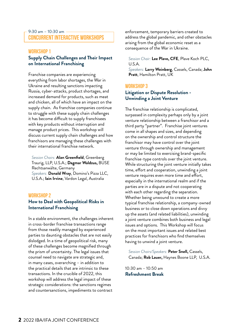#### 9:30 am – 10:30 am **Concurrent Interactive Workshops**

#### **Workshop 1**

#### **Supply Chain Challenges and Their Impact on International Franchising**

Franchise companies are experiencing everything from labor shortages, the War in Ukraine and resulting sanctions impacting Russia, cyber-attacks, product shortages, and increased demand for products, such as meat and chicken, all of which have an impact on the supply chain. As franchise companies continue to struggle with these supply chain challenges it has become difficult to supply franchisees with key products without interruption and manage product prices. This workshop will discuss current supply chain challenges and how franchisors are managing these challenges with their international franchise network.

*Session Chairs:* **Alan Greenfield**, Greenberg Traurig, LLP, U.S.A.; **Dagmar Waldzus,** BUSE Rechtsanwälte, Germany *Speakers:* **Donald Wray**, Domino's Pizza LLC, U.S.A.; **Iain Irvine**, Vardon Legal, Australia

#### **Workshop 2**

#### **How to Deal with Geopolitical Risks in International Franchising**

In a stable environment, the challenges inherent in cross-border franchise transactions range from those readily managed by experienced parties to daunting obstacles that are not easily dislodged. In a time of geopolitical risk, many of these challenges become magnified through the prism of uncertainty. The legal issues that counsel need to navigate are strategic and, in many cases, overarching – in addition to the practical details that are intrinsic to these transactions. In the crucible of 2022, this workshop will address the legal impact of these strategic considerations: the sanctions regimes and countersanctions, impediments to contract

enforcement, temporary barriers created to address the global pandemic, and other obstacles arising from the global economic reset as a consequence of the War in Ukraine.

*Session Chair:* **Lee Plave, CFE**, Plave Koch PLC, U.S.A. *Speakers:* **Larry Weinberg**, Cassels, Canada; **John** 

**Pratt**, Hamilton Pratt, UK

#### **Workshop 3**

#### **Litigation or Dispute Resolution - Unwinding a Joint Venture**

The franchise relationship is complicated, surpassed in complexity perhaps only by a joint venture relationship between a franchisor and a third party "partner". Franchise joint ventures come in all shapes and sizes, and depending on the ownership and control structure the franchisor may have control over the joint venture through ownership and management or may be limited to exercising brand-specific franchise-type controls over the joint venture. While structuring the joint venture initially takes time, effort and cooperation, unwinding a joint venture requires even more time and effort, especially in the international realm and if the parties are in a dispute and not cooperating with each other regarding the separation. Whether being unwound to create a more typical franchise relationship, a company-owned business or to close down operations and divvy up the assets (and related liabilities), unwinding a joint venture combines both business and legal issues and options. This Workshop will focus on the most important issues and related best practices for franchisors who find themselves having to unwind a joint venture.

*Session Chairs/Speakers:* **Peter Snell,** Cassels, Canada; **Rob Lauer,** Haynes Boone LLP, U.S.A.

10:30 am – 10:50 am **Refreshment Break**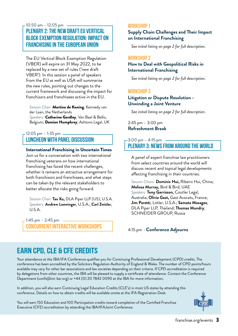#### 10:50 am – 12:05 pm **Plenary 2: The New Draft EU Vertical Block Exemption Regulation: Impact on Franchising in the European Union**

The EU Vertical Block Exemption Regulation (VBER) will expire on 31 May 2022, to be replaced by a new set of rules ('new draft VBER'). In this session a panel of speakers from the EU as well as USA will summarize the new rules, pointing out changes to the current framework and discussing the impact for franchisors and franchisees active in the EU.

*Session Chair:* Martine de Koning, Kennedy van der Laan, the Netherlands *Speakers:* Catherine Gordley, Van Bael & Bellis, Belgium; Damian Humphrey, Ashtons Legal, UK

#### 12:05 pm – 1:35 pm **Luncheon with Panel Discussion**

#### International Franchising in Uncertain Times

Join us for a conversation with two international franchising veterans on how international franchising has faced the recent challenges, whether it remains an attractive arrangement for both franchisors and franchisees, and what steps can be taken by the relevant stakeholders to better allocate the risks going forward.

*Session Chair:* **Tao Xu,** DLA Piper LLP (US), U.S.A. *Speakers:* **Andrew Loewinger**, U.S.A.; **Carl Zwisler**, U.S.A.

1:45 pm – 2:45 pm **Concurrent Interactive Workshops**

#### **Workshop 1**

#### **Supply Chain Challenges and Their Impact on International Franchising**

*See initial listing on page 2 for full description.*

#### **Workshop 2**

#### **How to Deal with Geopolitical Risks in International Franchising**

*See initial listing on page 2 for full description.*

#### **Workshop 3**

#### **Litigation or Dispute Resolution - Unwinding a Joint Venture**

*See initial listing on page 2 for full description.*

2:45 pm – 3:00 pm **Refreshment Break**

#### 3:00 pm – 4:15 pm **Plenary 3: News from AROUND the World**

A panel of expert franchise law practitioners from select countries around the world will discuss recent and topical legal developments affecting franchising in their countries.

*Session Chairs:* **Dominic Hui,** Ribeiro Hui, China; **Melissa Murray,** Bird & Bird, UAE *Speakers:* **Tony Garrisson**, Coutler Legal, Australia; **Olivia Gast,** Gast Avocats, France; **Jim Paretti**, Littler, U.S.A.; **Samata Masagee**, DLA Piper LLP, Thailand; **Thomas Mundry**, SCHNEIDER GROUP, Russia

4:15 pm - **Conference Adjourns**

# **Earn CPD, CLE & CFE Credits**

Your attendance at the IBA/IFA Conference qualifies you for Continuing Professional Development (CPD) credits. The conference has been accredited by the Solicitors Regulation Authority of England & Wales. The number of CPD points/hours available may vary for other bar associations and law societies depending on their criteria. If CPD accreditation is required by delegations from other countries, the IBA will be pleased to supply a certificate of attendance. Contact the Conference Department (confs@int-bar.org) or +44 (0) 20 7842 0090 at the IBA for more information.

In addition, you will also earn Continuing Legal Education Credits (CLE's) in most US states by attending this conference. Details on how to obtain credits will be available onsite at the IFA Registration Desk.

You will earn 150 Education and 100 Participation credits toward completion of the Certified Franchise Executive (CFE) accreditation by attending the IBA/IFAJoint Conference.